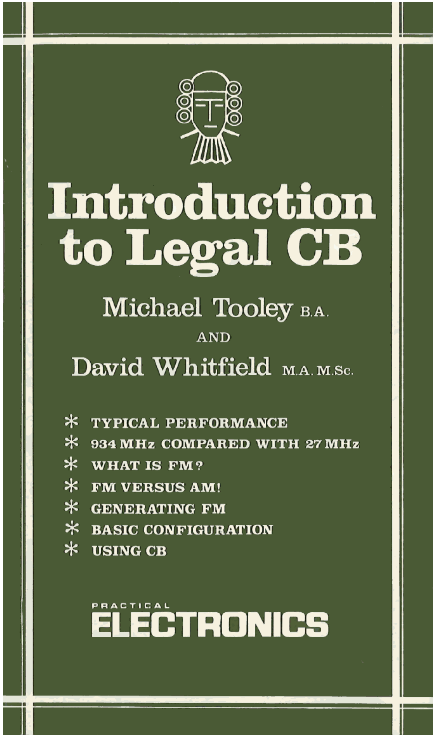

# **Introduction** to Legal CB

Michael Tooley B.A.

# $AND$

David Whitfield M.A. M.Sc.

- \* TYPICAL PERFORMANCE
- \* 934 MHz COMPARED WITH 27 MHz
- $*$  WHAT IS FM?
- \* FM VERSUS AM!
- \* GENERATING FM
- \* BASIC CONFIGURATION
- $\ast$ **USING CB**

# **ELECTRONICS**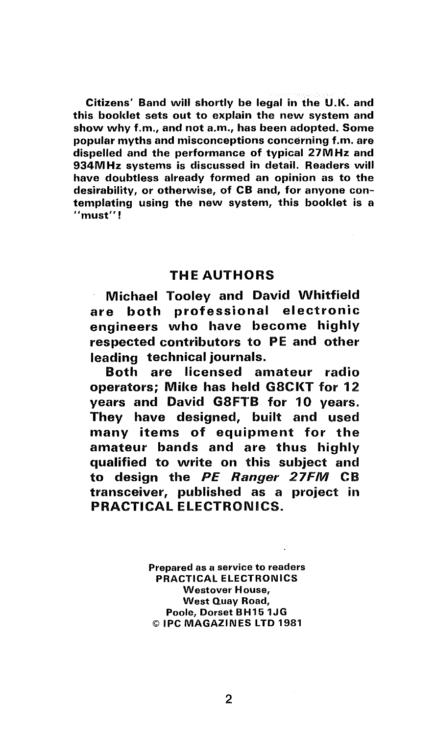Citizens' Band will shortly be legal in the U.K. and this booklet sets out to explain the new system and show why f.m., and not a.m., has been adopted. Some popular myths and misconceptions concerning f.m. are dispelled and the performance of typical 27MHz and 934M Hz systems is discussed in detail. Readers will have doubtless already formed an opinion as to the desirability, or otherwise, of CB and, for anyone contemplating using the new system, this booklet is a **"must <sup>11</sup>**!

# THE AUTHORS

Michael Tooley and David Whitfield are both professional electronic engineers who have become highly respected contributors to PE and other leading technical journals.

Both are licensed amateur radio operators: Mike has held G8CKT for 12 years and David G8FTB for 10 years. They have designed, built and used many items of equipment for the amateur bands and are thus highly qualified to write on this subject and to design the PE Ranger 27FM CB transceiver, published as a project in PRACTICAL ELECTRONICS.

> Prepared as a service to readers PRACTICAL ELECTRONICS Westover House, West Quay Road, Poole, Dorset BH151JG © IPC MAGAZINES LTD 1981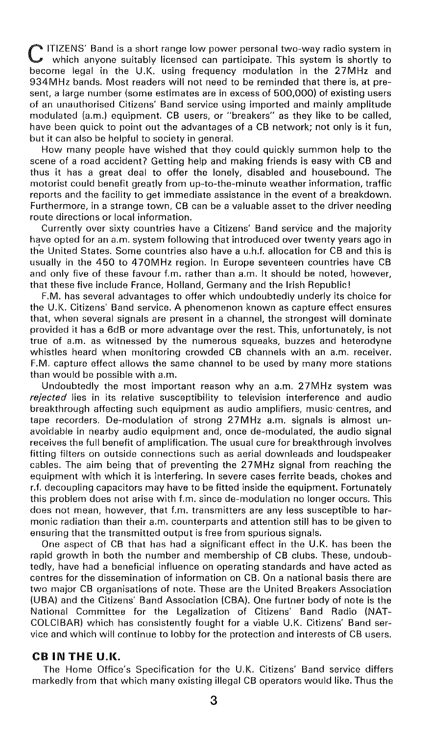C ITIZENS' Band is a short range low power personal two-way radio system in which anyone suitably licensed can participate. This system is shortly to become legal in the U.K. using frequency modulation in the 27MHz and 934MHz bands. Most readers will not need to be reminded that there is, at present, a large number (some estimates are in excess of 500,000) of existing users of an unauthorised Citizens' Band service using imported and mainly amplitude modulated (a.m.) equipment. CB users, or "breakers" as they like to be called, have been quick to point out the advantages of a CB network; not only is it fun, but it can also be helpful to society in general.

How many people have wished that they could quickly summon help to the scene of a road accident? Getting help and making friends is easy with CB and thus it has a great deal to offer the lonely, disabled and housebound. The motorist could benefit greatly from up-to-the-minute weather information, traffic reports and the facility to get immediate assistance in the event of a breakdown. Furthermore, in a strange town, CB can be a valuable asset to the driver needing route directions or local information.

Currently over sixty countries have a Citizens' Band service and the majority have opted for an a.m. system following that introduced over twenty years ago in th'e United States. Some countries also have a u.h.f. allocation for CB and this is usually in the 450 to 470MHz region. In Europe seventeen countries have CB and only five of these favour f.m. rather than a.m. It should be noted, however, that these five include France, Holland, Germany and the Irish Republic!

F.M. has several advantages to offer which undoubtedly underly its choice for the U.K. Citizens' Band service. A phenomenon known as capture effect ensures that, when several signals are present in a channel, the strongest will dominate provided it has a 6dB or more advantage over the rest. This, unfortunately, is not true of a.m. as witnessed by the numerous squeaks, buzzes and heterodyne whistles heard when monitoring crowded CB channels with an a.m. receiver. F.M. capture effect allows the same channel to be used by many more stations than would be possible with a.m.

Undoubtedly the most important reason why an a.m. 27MHz system was *rejected* lies in its relative susceptibility to television interference and audio breakthrough affecting such equipment as audio amplifiers, music centres, and tape recorders. De-modulation of strong 27MHz a.m. signals is almost unavoidable in nearby audio equipment and, once de-modulated, the audio signal receives the full benefit of amplification. The usual cure for breakthrough involves fitting filters on outside connections such as aerial downleads and loudspeaker cables. The aim being that of preventing the 2 7 MHz signal from reaching the equipment with which it is interfering. In severe cases ferrite beads, chokes and r.f. decoupling capacitors may have to be fitted inside the equipment. Fortunately this problem does not arise with f.m. since de-modulation no longer occurs. This does not mean, however, that f.m. transmitters are any less susceptible to harmonic radiation than their a.m. counterparts and attention still has to be given to ensuring that the transmitted output is free from spurious signals.

One aspect of CB that has had a significant effect in the U.K. has been the rapid growth in both the number and membership of CB clubs. These, undoubtedly, have had a beneficial influence on operating standards and have acted as centres for the dissemination of information on CB. On a national basis there are two major CB organisations of note. These are the United Breakers Association (UBA) and the Citizens' Band Association (CBA). One furtner body of note is the National Committee for the Legalization of Citizens' Band Radio (NAT-COLCIBAR) which has consistently fought for a viable U.K. Citizens' Band service and which will continue to lobby for the protection and interests of CB users.

# CB **IN THE U.K.**

The Home Office's Specification for the U.K. Citizens' Band service differs markedly from that which many existing illegal CB operators would like. Thus the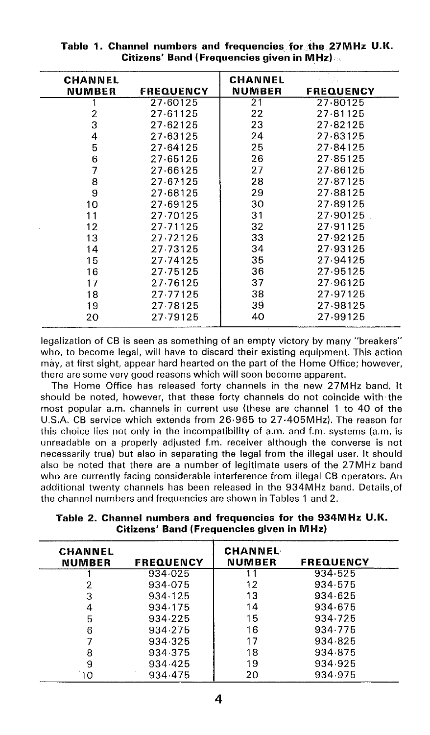| <b>CHANNEL</b> |                  | <b>CHANNEL</b> | ħ.<br>in Berning |
|----------------|------------------|----------------|------------------|
| <b>NUMBER</b>  | <b>FREQUENCY</b> | <b>NUMBER</b>  | <b>FREQUENCY</b> |
|                | 27 60125         | 21             | 27.80125         |
| 2              | 27.61125         | 22             | 27.81125         |
| 3              | 27.62125         | 23             | 27.82125         |
| 4              | 27.63125         | 24             | 27.83125         |
| 5              | 27.64125         | 25             | 27.84125         |
| 6              | 27.65125         | 26             | 27.85125         |
| 7              | 27 66125         | 27             | 27.86125         |
| 8              | 27.67125         | 28             | 27.87125         |
| 9              | 27.68125         | 29             | 27.88125         |
| 10             | 27.69125         | 30             | 27.89125         |
| 11             | 27.70125         | 31             | 27.90125         |
| 12             | 27.71125         | 32             | 27.91125         |
| 13             | 27.72125         | 33             | 27.92125         |
| 14             | 27.73125         | 34             | 27.93125         |
| 15             | 27.74125         | 35             | 27.94125         |
| 16             | 27.75125         | 36             | 27.95125         |
| 17             | 27.76125         | 37             | 27.96125         |
| 18             | 27.77125         | 38             | 27.97125         |
| 19             | 27.78125         | 39             | 27.98125         |
| 20             | 27.79125         | 40             | 27.99125         |

**Table 1. Channel numbers and frequencies for the 27MHz U.K. Citizens' Band (Frequencies given in MHz)** 

legalization of CB is seen as something of an empty victory by many "breakers" who, to become legal, will have to discard their existing equipment. This action may, at first sight, appear hard hearted on the part of the Home Office; however, there are some very good reasons which will soon become apparent.

The Home Office has released forty channels in the new 27MHz band. It should be noted, however, that these forty channels do not coincide with the most popular a.m. channels in current use (these are channel 1 to 40 of the U.S.A. CB service which extends from 26·965 to 27 ·405MHz). The reason for this choice lies not only in the incompatibility of a.m. and f.m. systems (a.m. is unreadable on a properly adjusted f.ni. receiver although the converse is not necessarily true) but also in separating the legal from the illegal user. It should also be noted that there are a number of legitimate users of the 27MHz band who are currently facing considerable interference from illegal CB operators. An additional twenty channels has been released in the 934MHz band. Details.of the channel numbers and frequencies are shown in Tables 1 and 2.

| <b>CHANNEL</b><br><b>NUMBER</b> | <b>FREQUENCY</b> | <b>CHANNEL</b><br><b>NUMBER</b> | <b>FREQUENCY</b> |  |
|---------------------------------|------------------|---------------------------------|------------------|--|
|                                 | 934.025          |                                 | 934.525          |  |
| 2                               | 934.075          | 12                              | 934.575          |  |
| 3                               | 934.125          | 13                              | 934.625          |  |
| 4                               | 934.175          | 14                              | 934.675          |  |
| 5                               | 934.225          | 15                              | 934.725          |  |
| 6                               | 934.275          | 16                              | 934.775          |  |
|                                 | 934.325          | 17                              | 934.825          |  |
| 8                               | 934.375          | 18                              | 934 875          |  |
| 9                               | 934.425          | 19                              | 934.925          |  |
| O                               | 934.475          | 20                              | 934 975          |  |
|                                 |                  |                                 |                  |  |

**Table 2. Channel numbers and frequencies for the 934MHz U.K. Citizens' Band (Frequencies given in MHz)**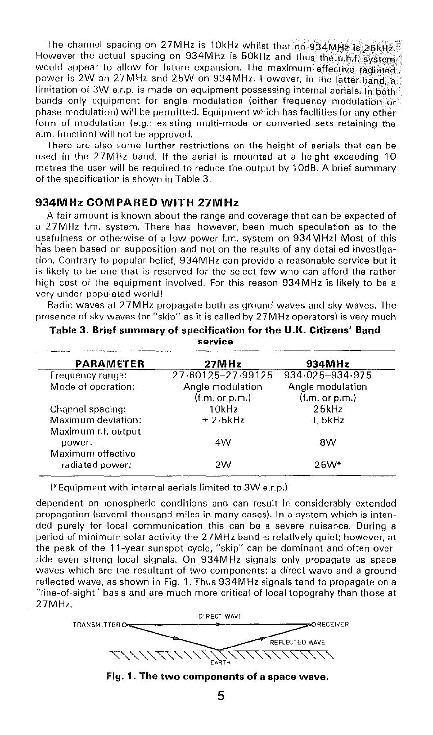The channel spacing on 27MHz is 10kHz whilst that on 934MHz is 25kHz. However the actual spacing on 934MHz is 50kHz and thus the u.h.f. system would appear to allow for future expansion. The maximum effective radiated power is 2W on 27MHz and 25W on 934MHz. However, in the latter band, a limitation of 3W e.r.p. is made on equipment possessing internal aerials. In both bands only equipment for angle modulation (either frequency modulation or phase modulation) will be permitted. Equipment which has facilities for any other form of modulation (e.g.: existing multi-mode or converted sets retaining the a.m. function) will not be approved.

There are also some further restrictions on the height of aerials that can be used in the 27MHz band. If the aerial is mounted at a height exceeding 10 metres the user will be required to reduce the output by 1 OdB. A brief summary of the specification is shown in Table 3.

# **934MHz COMPARED WITH 27MHz**

A fair amount is known about the range and coverage that can be expected of a 27MHz f.m. system. There has, however, been much speculation as to the usefulness or otherwise of a low-power f.m. system on 934MHz! Most of this h'as been based on supposition and not on the results of any detailed investigation. Contrary to popular belief, 934M Hz can provide a reasonable service but it is likely to be one that is reserved for the select few who can afford the rather high cost of the equipment involved. For this reason 934MHz is likely to be a very under-populated world!

Radio waves at 2 7 MHz propagate both as ground waves and sky waves. The presence of sky waves (or "skip" as it is called by 27MHz operators) is very much

|                     | JUI VILG          |                  |  |
|---------------------|-------------------|------------------|--|
| <b>PARAMETER</b>    | 27MHz             | 934MHz           |  |
| Frequency range:    | 27.60125-27.99125 | 934.025-934.975  |  |
| Mode of operation:  | Angle modulation  | Angle modulation |  |
|                     | (f.m. or p.m.)    | (f.m. or p.m.)   |  |
| Channel spacing:    | 10kHz             | 25kHz            |  |
| Maximum deviation:  | $+2.5$ kHz        | ± 5kHz           |  |
| Maximum r.f. output |                   |                  |  |
| power:              | 4W                | 8W               |  |
| Maximum effective   |                   |                  |  |
| radiated power:     | 2W                | $25W*$           |  |
|                     |                   |                  |  |

**Table 3. Brief summary of specification for the U.K. Citizens' Band service** 

(\*Equipment with internal aerials limited to 3W e.r.p.)

dependent on ionospheric conditions and can result in considerably extended propagation (several thousand miles in many cases). In a system which is intended purely for local communication this can be a severe nuisance. During a period of minimum solar activity the 27MHz band is relatively quiet; however, at the peak of the 11-year sunspot cycle, "skip" can be dominant and often override even strong local signals. On 934M Hz signals only propagate as space waves which are the resultant of two components: a direct wave and a ground reflected wave, as shown in Fig. 1. Thus 934MHz signals tend to propagate on a "line-of-sight" basis and are much more critical of local topograhy than those at 27MHz.



**Fig. 1. The two components of a space wave.**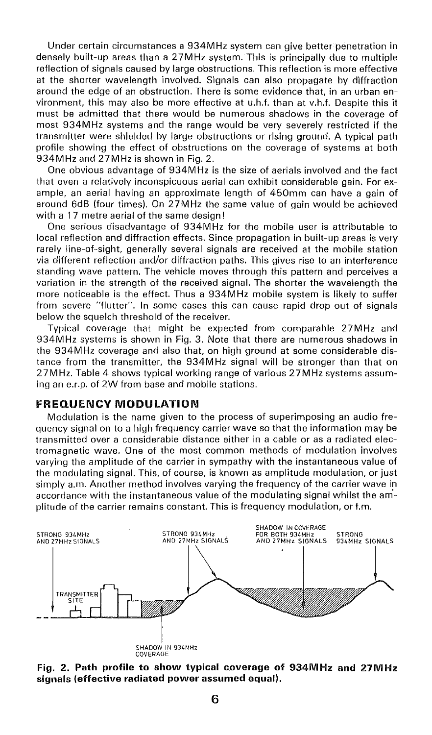Under certain circumstances a 934MHz system can give better penetration in densely built-up areas than a 27MHz system. This is principally due to multiple reflection of signals caused by large obstructions. This reflection is more effective at the shorter wavelength involved. Signals can also propagate by diffraction around the edge of an obstruction. There is some evidence that, in an urban environment, this may also be more effective at u.h.f. than at v.h.f. Despite this it must be admitted that there would be numerous shadows in the coverage of most 934MHz systems and the range would be very severely restricted if the transmitter were shielded by large obstructions or rising ground. A typical path profile showing the effect of obstructions on the coverage of systems at both 934MHz and 27MHz is shown in Fig. 2.

One obvious advantage of 934MHz is the size of aerials involved and the fact that even a relatively inconspicuous aerial can exhibit considerable gain. For example, an aerial having an approximate length of 450mm can have a gain of around 6d8 (four times). On 2 7 MHz the same value of gain would be achieved with a 17 metre aerial of the same design!

One serious disadvantage of 934M Hz for the mobile user is attributable to local reflection and diffraction effects. Since propagation in built-up areas is very rarely line-of-sight, generally several signals are received at the mobile station via different reflection and/or diffraction paths. This gives rise to an interference standing wave pattern. The vehicle moves through this pattern and perceives a variation in the strength of the received signal. The shorter the wavelength the more noticeable is the effect. Thus a 934MHz mobile system is likely to suffer from severe "flutter". In some cases this can cause rapid drop-out of signals below the squelch threshold of the receiver.

Typical coverage that might be expected from comparable 27MHz and 934MHz systems is shown in Fig. 3. Note that there are numerous shadows in the 934MHz coverage and also that, on high ground at some considerable distance from the transmitter, the 934MHz signal will be stronger than that on 27M Hz. Table 4 shows typical working range of various 27MHz systems assuming an e.r.p. of 2W from base and mobile stations.

# **FREQUENCY MODULATION**

Modulation is the name given to the process of superimposing an audio frequency signal on to a high frequency carrier wave so that the information may be transmitted over a considerable distance either in a cable or as a radiated electromagnetic wave. One of the most common methods of modulation involves varying the amplitude of the carrier in sympathy with the instantaneous value of the modulating signal. This, of course, is known as amplitude modulation, or just simply a.m. Another method involves varying the frequency of the carrier wave in accordance with the instantaneous value of the modulating signal whilst the am' plitude of the carrier remains constant. This is frequency modulation, or f.m.



**Fig. 2. Path profile to show typical coverage of 934MHz and 27MHz signals (effective radiated power assumed equal).**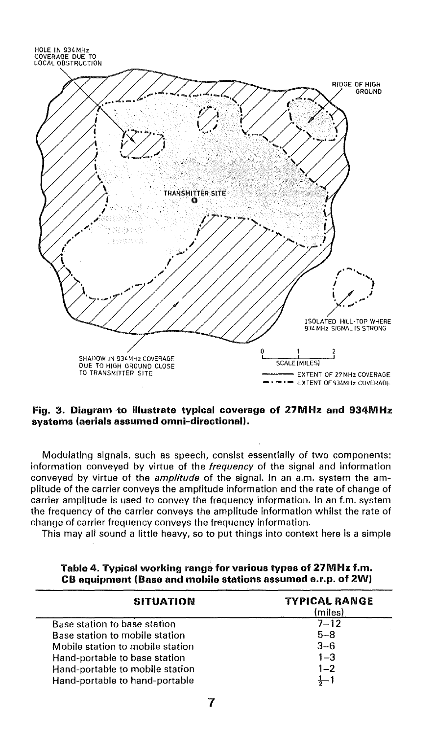

Fig. 3. Diagram to illustrate typical coverage of 27MHz and 934MHz systems (aerials assumed omni-directional).

Modulating signals, such as speech, consist essentially of two components: information conveyed by virtue of the frequency of the signal and information conveyed by virtue of the *amplitude* of the signal. In an a.m. system the amplitude of the carrier conveys the amplitude information and the rate of change of carrier amplitude is used to convey the frequency information. In an f.m. system the frequency of the carrier conveys the amplitude information whilst the rate of change of carrier frequency conveys the frequency information.

This may all sound a little heavy, so to put things into context here is a simple

| <b>SITUATION</b>                 | <b>TYPICAL RANGE</b><br>(miles) |
|----------------------------------|---------------------------------|
| Base station to base station     | $7 - 12$                        |
| Base station to mobile station   | $5 - 8$                         |
| Mobile station to mobile station | $3 - 6$                         |
| Hand-portable to base station    | $1 - 3$                         |
| Hand-portable to mobile station  | $1 - 2$                         |
| Hand-portable to hand-portable   |                                 |

Table 4. Typical working range for various types of 27M Hz f.m. CB equipment (Base and mobile stations assumed e.r.p. of 2W)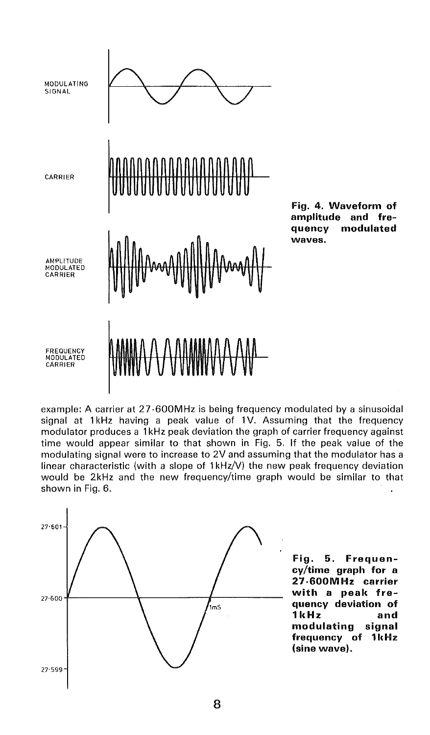

**Fig. 4. Waveform of amplitude and frequency modulated waves.** 

example: A carrier at 27·600MHz is being frequency modulated by a sinusoidal signal at 1kHz having a peak value of 1V. Assuming that the frequency modulator produces a 1 kHz peak deviation the graph of carrier frequency against time would appear similar to that shown in Fig. 5. If the peak value of the modulating signal were to increase to 2V and assuming that the modulator has a linear characteristic (with a slope of  $1kHz/V$ ) the new peak frequency deviation would be 2kHz and the new frequency/time graph would be similar to that shown in Fig. 6.  $\overline{a}$ 



**Fig. 5. Frequency/time graph for a 27·600MHz carrier with a peak frequency deviation of 1 kHz and modulating signal frequency of 1 kHz (sine wave).**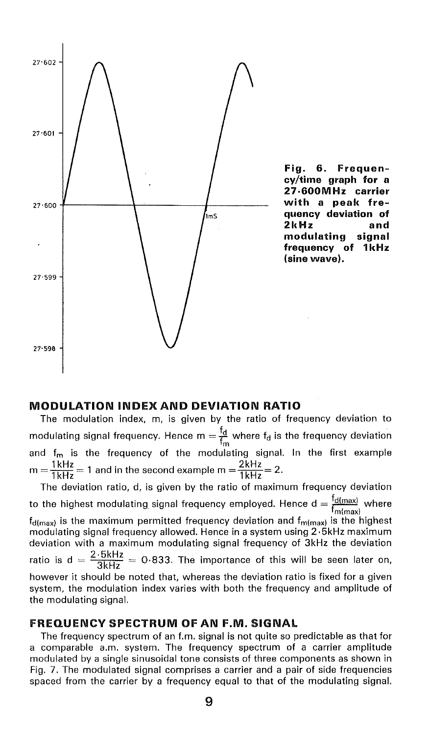

### **MODULATION INDEX AND DEVIATION RATIO**

The modulation index, m, is given by the ratio of frequency deviation to modulating signal frequency. Hence  $m = \frac{f_d}{f_m}$  where  $f_d$  is the frequency deviation and f<sub>m</sub> is the frequency of the modulating signal. In the first example  $m = \frac{1 \text{ kHz}}{1 \text{ kHz}} = 1$  and in the second example  $m = \frac{2 \text{ kHz}}{1 \text{ kHz}} = 2$ .

The deviation ratio, d, is given by the ratio of maximum frequency deviation to the highest modulating signal frequency employed. Hence d =  $\frac{G(max)}{f_{m(max)}}$  where  $f_{\text{d(max)}}$  is the maximum permitted frequency deviation and  $f_{\text{m(max)}}$  is the highest modulating signal frequency allowed. Hence in a system using 2 · 5kHz maximum deviation with a maximum modulating signal frequency of 3kHz the deviation ratio is  $d = \frac{2.5kHz}{3kHz} = 0.833$ . The importance of this will be seen later on, however it should be noted that, whereas the deviation ratio is fixed for a given system, the modulation index varies with both the frequency and amplitude of the modulating signal.

#### **FREQUENCY SPECTRUM OF AN F.M. SIGNAL**

The frequency spectrum of an f.m. signal is not quite so predictable as that for a comparable a.m. system. The frequency spectrum of a carrier amplitude modulated by a single sinusoidal tone consists of three components as shown in Fig. 7. The modulated signal comprises a carrier and a pair of side frequencies spaced from the carrier by a frequency equal to that of the modulating signal.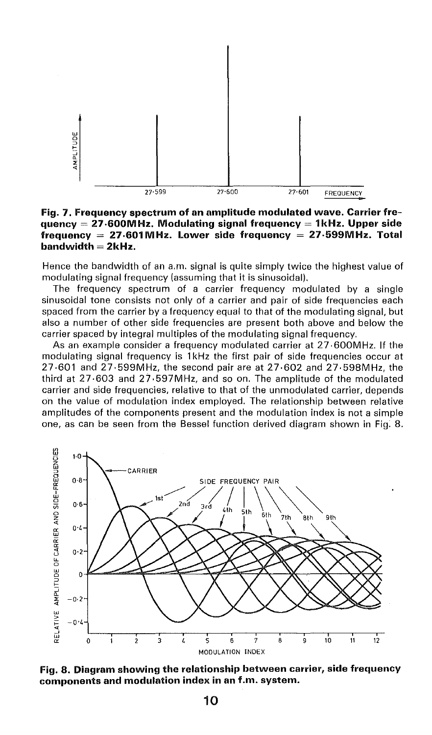

**Fig. 7. Frequency spectrum of an amplitude modulated wave. Carrier frequency= 27·600MHz. Modulating signal frequency= 1kHz. Upper side frequency = 27-601 MHz. Lower side frequency = 27-599MHz. Total bandwidth = 2kHz.** 

Hence the bandwidth of an a.m. signal is quite simply twice the highest value of modulating signal frequency (assuming that it is sinusoidal).

The frequency spectrum of a carrier frequency modulated by a single sinusoidal tone consists not only of a carrier and pair of side frequencies each spaced from the carrier by a frequency equal to that of the modulating signal, but also a number of other side frequencies are present both above and below the carrier spaced by integral multiples of the modulating signal frequency.

As an example consider a frequency modulated carrier at  $27.600 \text{MHz}$ . If the modulating signal frequency is 1 kHz the first pair of side frequencies occur at 27·601 and 27·599MHz, the second pair are at 27·602 and 27·598MHz, the third at 27·603 and 27·597MHz, and so on. The amplitude of the modulated carrier and side frequencies, relative to that of the unmodulated carrier, depends on the value of modulation index employed. The relationship between relative amplitudes of the components present and the modulation index is not a simple one, as can be seen from the Bessel function derived diagram shown in Fig. 8.



**Fig. 8. Diagram showing the relationship between carrier, side frequency components and modulation index in an f.m. system.**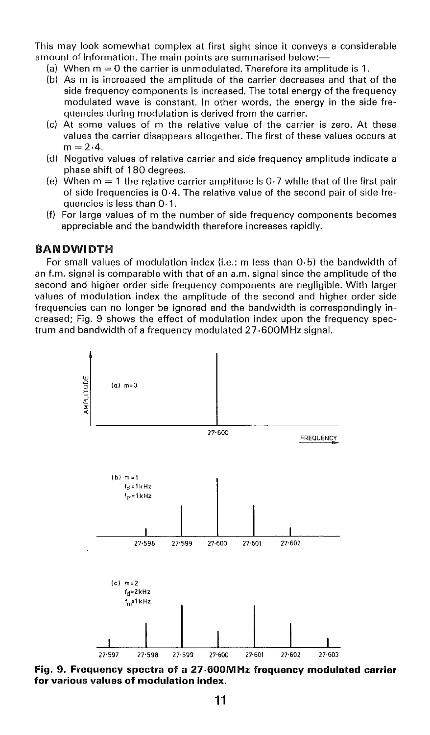This may look somewhat complex at first sight since it conveys a considerable amount of information. The main points are summarised below:-

- (a) When  $m = 0$  the carrier is unmodulated. Therefore its amplitude is 1.
- (b) As m is increased the amplitude of the carrier decreases and that of the side frequency components is increased. The total energy of the frequency modulated wave is constant. In other words, the energy in the side frequencies during modulation is derived from the carrier.
- (c) At some values of m the relative value of the carrier is zero. At these values the carrier disappears altogether. The first of these values occurs at  $m = 2.4$ .
- (d) Negative values of relative carrier and side frequency amplitude indicate a phase shift of 1 80 degrees.
- (e) When  $m = 1$  the relative carrier amplitude is 0.7 while that of the first pair of side frequencies is 0·4. The relative value of the second pair of side frequencies is less than 0· 1.
- (f) For large values of m the number of side frequency components becomes appreciable and the bandwidth therefore increases rapidly.

# **BANDWIDTH**

For small values of modulation index (i.e.: m less than 0·5) the bandwidth of an f.m. signal is comparable with that of an a.m. signal since the amplitude of the second and higher order side frequency components are negligible. With larger values of modulation index the amplitude of the second and higher order side frequencies can no longer be ignored and the bandwidth is correspondingly increased; Fig. 9 shows the effect of modulation index upon the frequency spectrum and bandwidth of a frequency modulated 27 **600MHz** signal.



**Fig. 9. Frequency spectra of a 27·600MHz frequency modulated carrier for various values of modulation index.**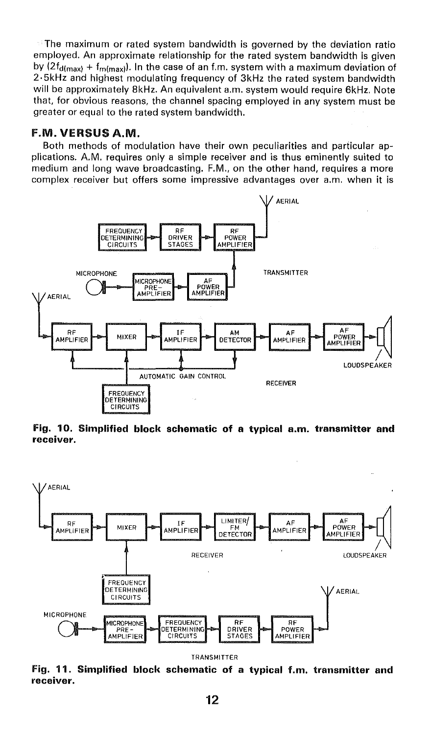$\blacksquare$  The maximum or rated system bandwidth is governed by the deviation ratio employed. An approximate relationship for the rated system bandwidth is given by  $(2f_{\text{d(max)}} + f_{\text{m(max)}})$ . In the case of an f.m. system with a maximum deviation of 2·5kHz and highest modulating frequency of 3kHz the rated system bandwidth will be approximately 8kHz. An equivalent a.m. system would require 6kHz. Note that, for obvious reasons, the channel spacing employed in any system must be greater or equal to the rated system bandwidth.

# F.M. **VERSUS A.M.**

Both methods of modulation have their own peculiarities and particular applications. A.M. requires only a simple receiver and is thus eminently suited to medium and long wave broadcasting. F.M., on the other hand, requires a more complex receiver but offers some impressive advantages over a.m. when it is



**Fig. 10. Simplified block schematic of a typical a.m. transmitter and receiver.** 



TRANSMITTER

**Fig. 11. Simplified block schematic of a typical f.m. transmitter and receiver.**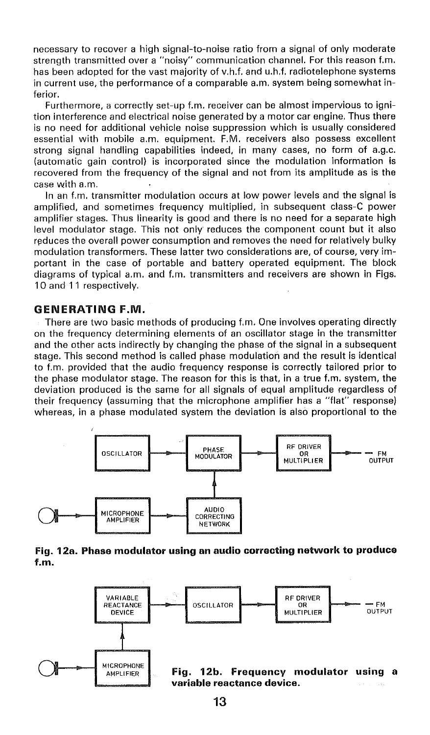necessary to recover a high signal-to-noise ratio from a signal of only moderate strength transmitted over a "noisy" communication channel. For this reason f.m. has been adopted for the vast majority of v.h.f. and u.h.f. radiotelephone systems in current use, the performance of a comparable a.m. system being somewhat inferior.

Furthermore, a correctly set-up f.m. receiver can be almost impervious to ignition interference and electrical noise generated by a motor car engine. Thus there is no need for additional vehicle noise suppression which is usually considered essential with mobile a.m. equipment. F.M. receivers also possess excellent strong signal handling capabilities indeed, in many cases, no form of a.g.c. (automatic gain control) is incorporated since the modulation information is recovered from the frequency of the signal and not from its amplitude as is the case with a.m.

In an f.m. transmitter modulation occurs at low power levels and the signal is amplified, and sometimes frequency multiplied, in subsequent class-C power amplifier stages. Thus linearity is good and there is no need for a separate high level modulator stage. This not only reduces the component count but it also reduces the overall power consumption and removes the need for relatively bulky modulation transformers. These latter two considerations are, of course, very important in the case of portable and battery operated equipment. The block diagrams of typical a.m. and f.m. transmitters and receivers are shown in Figs. 10 and 11 respectively.

### **GENERATING F.M.**

There are two basic methods of producing f.m. One involves operating directly on the frequency determining elements of an oscillator stage in the transmitter and the other acts indirectly by changing the phase of the signal in a subsequent stage. This second method is called phase modulation and the result is identical to f.m. provided that the audio frequency response is correctly tailored prior to the phase modulator stage. The reason for this is that, in a true f.m. system, the deviation produced is the same for all signals of equal amplitude regardless of their frequency (assuming that the microphone amplifier has a "flat" response) whereas, in a phase modulated system the deviation is also proportional to the



#### **Fig. 12a. Phase modulator using an audio correcting network to produce f.m.**

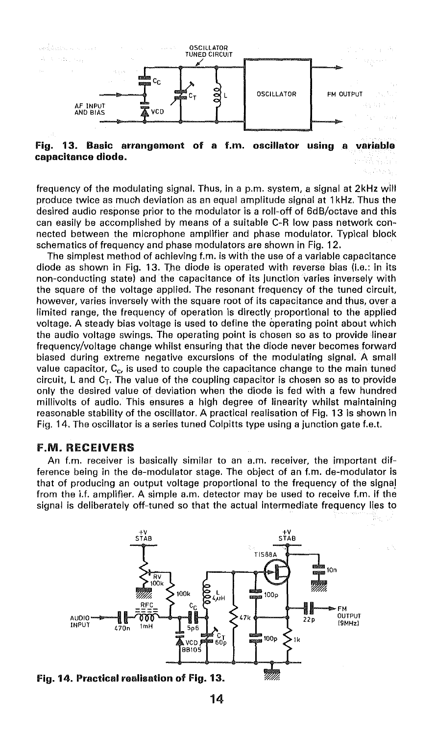

**Fig. 13. Basic arrangement of a f.m. oscillator using a variable capacitance diode.** 

frequency of the modulating signal. Thus, in a p.m. system, a signal at 2kHz will produce twice as much deviation as an equal amplitude signal at 1 kHz. Thus the desired audio response prior to the modulator is a roll-off of 6dB/octave and this can easily be accomplished by means of a suitable C-R low pass network connected between the microphone amplifier and phase modulator. Typical block schematics of frequency and phase modulators are shown in Fig. 12.

The simplest method of achieving f.m. is with the use of a variable capacitance diode as shown in Fig. 13. The diode is operated with reverse bias (i.e.: in its non-conducting state) and the capacitance of its junction varies inversely with the square of the voltage applied. The resonant frequency of the tuned circuit, however, varies inversely with the square root of its capacitance and thus, over a limited range, the frequency of operation is directly proportional to the applied voltage. A steady bias voltage is used to define the operating point about which the audio voltage swings. The operating point is chosen so as to provide linear frequency/voltage change whilst ensuring that the diode never becomes forward biased during extreme negative excursions of the modulating signal. A small value capacitor,  $C_{c}$ , is used to couple the capacitance change to the main tuned circuit. L and  $C<sub>T</sub>$ . The value of the coupling capacitor is chosen so as to provide only the desired value of deviation when the diode is fed with a few hundred millivolts of audio. This ensures a high degree of linearity whilst maintaining reasonable stability of the oscillator. A practical realisation of Fig. 13 is shown in Fig. 14. The oscillator is a series tuned Colpitts type using a junction gate f.e.t.

#### F.M. RECEIVERS

An f.m. receiver is basically similar to an a.m. receiver, the important difference being in the de-modulator stage. The object of an f.m. de-modulator is that of producing an output voltage proportional to the frequency of the signa) from the i.f. amplifier. A simple a.m. detector may be used to receive f.m. if the signal is deliberately off-tuned so that the actual intermediate frequency lies to



**Fig. 14. Practical realisation of Fig. 13.**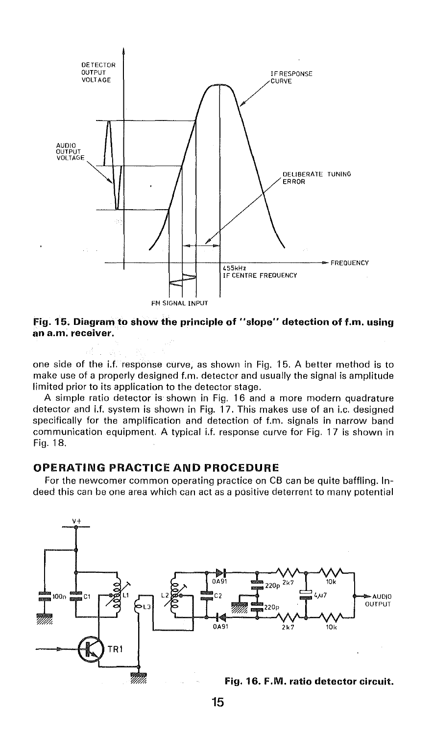

**Fig. 15. Diagram to show the principle of "slope" detection of f.m. using an a.m. receiver.** 

one side of the i.f. response curve, as shown in Fig. 1 5. A better method is to make use of a properly designed f.m. detector and usually the signal is amplitude limited prior to its application to the detector stage.

A simple ratio detector is shown in Fig. 16 and a more modern quadrature detector and i.f. system is shown in Fig. 17. This makes use of an i.e. designed specifically for the amplification and detection of f.m. signals in narrow band communication equipment. A typical i.f. response curve for Fig. 17 is shown in Fig. 18.

# **OPERATING PRACTICE AND PROCEDURE**

For the newcomer common operating practice on CB can be quite baffling. Indeed this can be one area which can act as a positive deterrent to many potential

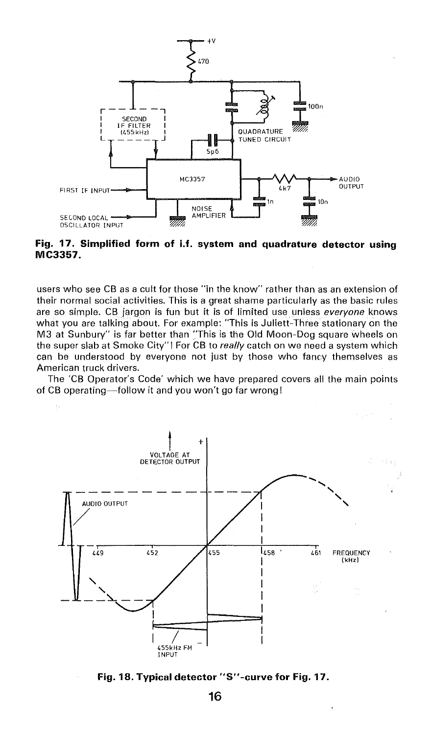

**Fig. 17. Simplified form of i.f. system and quadrature detector using MC3357.** 

users who see CB as a cult for those "in the know" rather than as an extension of their normal social activities. This is a great shame particularly as the basic rules are so simple. CB jargon is fun but it is of limited use. unless *everyone* knows what you are talking about. For example: "This is Juliett-Three stationary on the M3 at Sunbury" is far better than "This is the Old Moon-Dog square wheels on the super slab at Smoke City" I For CB to *really* catch on we need a system which can be understood by everyone not just by those who fancy themselves as American truck drivers.

The 'CB Operator's Code' which we have prepared covers all the main points of CB operating-follow it and you won't go far wrong!



**Fig. 18. Typical detector "S"-curve for Fig. 17.**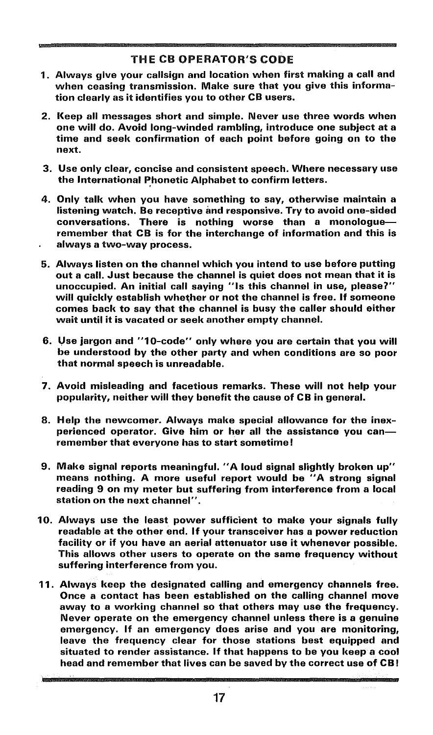# THE CB OPERATOR'S CODE

- 1 . Always give your callsign and location when first making a call and when ceasing transmission. Make sure that you give this information clearly as it identifies you to other CB users.
- 2. Keep all messages short and simple. Never use three words when one will do. Avoid long-winded rambling, introduce one subject at a time and seek confirmation of each point before going on to the next.
- 3. Use only clear, concise and consistent speech. Where necessary use the International Phonetic Alphabet to confirm letters.
- 4. Only talk when you have something to say, otherwise maintain a listening watch. Be receptive and responsive. Try to avoid one-sided conversations. There is nothing worse than a monologueremember that CB is for the interchange of information and this is always a two-way process.
- 5. Always listen on the channel which you intend to use before putting out a call. Just because the channel is quiet does not mean that it is unoccupied. An initial call saying "Is this channel in use, please7'' will quickly establish whether or not the channel is free. If someone comes back to say that the channel is busy the caller should either wait until it is vacated or seek another empty channel.
- 6. Use jargon and "10-code" only where you are certain that you will be understood by the other party and when conditions are so poor that normal speech is unreadable.
- 7. Avoid misleading and facetious remarks. These will not help your popularity, neither will they benefit the cause of CB in general.
- 8. Help the newcomer. Always make special allowance for the inexperienced operator. Give him or her all the assistance you canremember that everyone has to start sometime!
- 9. Make signal reports meaningful. "A loud signal slightly broken up" means nothing. A more useful report would be "A strong signal reading 9 on my meter but suffering from interference from a local station on the next channel".
- 10. Always use the least power sufficient to make your signals fully readable at the other end. If your transceiver has a power reduction facility or if you have an aerial attenuator use it whenever possible. This allows other users to operate on the same frequency without suffering interference from you.
- 11. Always keep the designated calling and emergency channels free. Once a contact has been established on the calling channel move away to a working channel so that others may use the frequency. Never operate on the emergency channel unless there is a genuine emergency. If an emergency does arise and you are monitoring, leave the frequency clear for those stations best equipped and situated to render assistance. If that happens to be you keep a cool head and remember that lives can be saved by the correct use of CB!